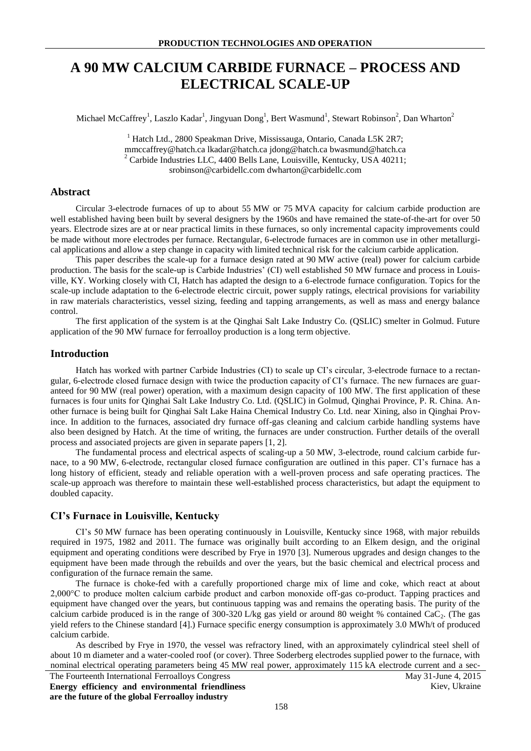# **A 90 MW CALCIUM CARBIDE FURNACE – PROCESS AND ELECTRICAL SCALE-UP**

Michael McCaffrey<sup>1</sup>, Laszlo Kadar<sup>1</sup>, Jingyuan Dong<sup>1</sup>, Bert Wasmund<sup>1</sup>, Stewart Robinson<sup>2</sup>, Dan Wharton<sup>2</sup>

<sup>1</sup> Hatch Ltd., 2800 Speakman Drive, Mississauga, Ontario, Canada L5K 2R7; mmccaffrey@hatch.ca lkadar@hatch.ca jdong@hatch.ca bwasmund@hatch.ca  $2^2$  Carbide Industries LLC, 4400 Bells Lane, Louisville, Kentucky, USA 40211; srobinson@carbidellc.com dwharton@carbidellc.com

#### **Abstract**

Circular 3-electrode furnaces of up to about 55 MW or 75 MVA capacity for calcium carbide production are well established having been built by several designers by the 1960s and have remained the state-of-the-art for over 50 years. Electrode sizes are at or near practical limits in these furnaces, so only incremental capacity improvements could be made without more electrodes per furnace. Rectangular, 6-electrode furnaces are in common use in other metallurgical applications and allow a step change in capacity with limited technical risk for the calcium carbide application.

This paper describes the scale-up for a furnace design rated at 90 MW active (real) power for calcium carbide production. The basis for the scale-up is Carbide Industries' (CI) well established 50 MW furnace and process in Louisville, KY. Working closely with CI, Hatch has adapted the design to a 6-electrode furnace configuration. Topics for the scale-up include adaptation to the 6-electrode electric circuit, power supply ratings, electrical provisions for variability in raw materials characteristics, vessel sizing, feeding and tapping arrangements, as well as mass and energy balance control.

The first application of the system is at the Qinghai Salt Lake Industry Co. (QSLIC) smelter in Golmud. Future application of the 90 MW furnace for ferroalloy production is a long term objective.

#### **Introduction**

Hatch has worked with partner Carbide Industries (CI) to scale up CI's circular, 3-electrode furnace to a rectangular, 6-electrode closed furnace design with twice the production capacity of CI's furnace. The new furnaces are guaranteed for 90 MW (real power) operation, with a maximum design capacity of 100 MW. The first application of these furnaces is four units for Qinghai Salt Lake Industry Co. Ltd. (QSLIC) in Golmud, Qinghai Province, P. R. China. Another furnace is being built for Qinghai Salt Lake Haina Chemical Industry Co. Ltd. near Xining, also in Qinghai Province. In addition to the furnaces, associated dry furnace off-gas cleaning and calcium carbide handling systems have also been designed by Hatch. At the time of writing, the furnaces are under construction. Further details of the overall process and associated projects are given in separate papers [1, 2].

The fundamental process and electrical aspects of scaling-up a 50 MW, 3-electrode, round calcium carbide furnace, to a 90 MW, 6-electrode, rectangular closed furnace configuration are outlined in this paper. CI's furnace has a long history of efficient, steady and reliable operation with a well-proven process and safe operating practices. The scale-up approach was therefore to maintain these well-established process characteristics, but adapt the equipment to doubled capacity.

## **CI's Furnace in Louisville, Kentucky**

CI's 50 MW furnace has been operating continuously in Louisville, Kentucky since 1968, with major rebuilds required in 1975, 1982 and 2011. The furnace was originally built according to an Elkem design, and the original equipment and operating conditions were described by Frye in 1970 [3]. Numerous upgrades and design changes to the equipment have been made through the rebuilds and over the years, but the basic chemical and electrical process and configuration of the furnace remain the same.

The furnace is choke-fed with a carefully proportioned charge mix of lime and coke, which react at about 2,000°C to produce molten calcium carbide product and carbon monoxide off-gas co-product. Tapping practices and equipment have changed over the years, but continuous tapping was and remains the operating basis. The purity of the calcium carbide produced is in the range of 300-320 L/kg gas yield or around 80 weight % contained  $CaC<sub>2</sub>$ . (The gas yield refers to the Chinese standard [4].) Furnace specific energy consumption is approximately 3.0 MWh/t of produced calcium carbide.

As described by Frye in 1970, the vessel was refractory lined, with an approximately cylindrical steel shell of about 10 m diameter and a water-cooled roof (or cover). Three Soderberg electrodes supplied power to the furnace, with nominal electrical operating parameters being 45 MW real power, approximately 115 kA electrode current and a sec-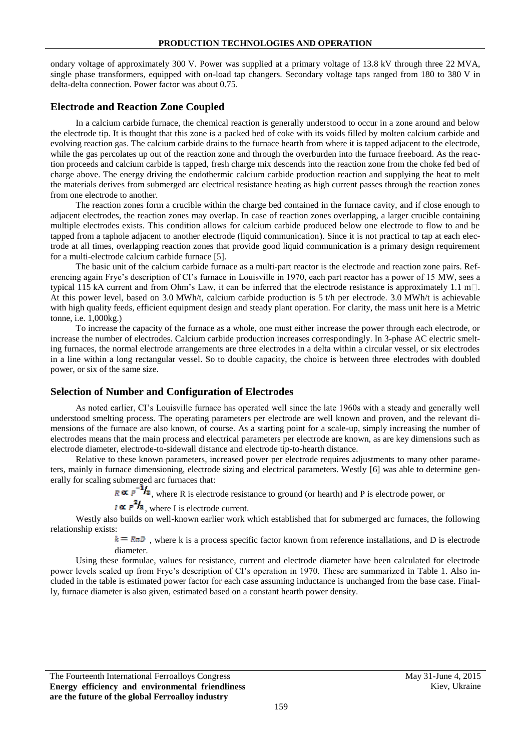ondary voltage of approximately 300 V. Power was supplied at a primary voltage of 13.8 kV through three 22 MVA, single phase transformers, equipped with on-load tap changers. Secondary voltage taps ranged from 180 to 380 V in delta-delta connection. Power factor was about 0.75.

## **Electrode and Reaction Zone Coupled**

In a calcium carbide furnace, the chemical reaction is generally understood to occur in a zone around and below the electrode tip. It is thought that this zone is a packed bed of coke with its voids filled by molten calcium carbide and evolving reaction gas. The calcium carbide drains to the furnace hearth from where it is tapped adjacent to the electrode, while the gas percolates up out of the reaction zone and through the overburden into the furnace freeboard. As the reaction proceeds and calcium carbide is tapped, fresh charge mix descends into the reaction zone from the choke fed bed of charge above. The energy driving the endothermic calcium carbide production reaction and supplying the heat to melt the materials derives from submerged arc electrical resistance heating as high current passes through the reaction zones from one electrode to another.

The reaction zones form a crucible within the charge bed contained in the furnace cavity, and if close enough to adjacent electrodes, the reaction zones may overlap. In case of reaction zones overlapping, a larger crucible containing multiple electrodes exists. This condition allows for calcium carbide produced below one electrode to flow to and be tapped from a taphole adjacent to another electrode (liquid communication). Since it is not practical to tap at each electrode at all times, overlapping reaction zones that provide good liquid communication is a primary design requirement for a multi-electrode calcium carbide furnace [5].

The basic unit of the calcium carbide furnace as a multi-part reactor is the electrode and reaction zone pairs. Referencing again Frye's description of CI's furnace in Louisville in 1970, each part reactor has a power of 15 MW, sees a typical 115 kA current and from Ohm's Law, it can be inferred that the electrode resistance is approximately 1.1 m $\Box$ . At this power level, based on 3.0 MWh/t, calcium carbide production is 5 t/h per electrode. 3.0 MWh/t is achievable with high quality feeds, efficient equipment design and steady plant operation. For clarity, the mass unit here is a Metric tonne, i.e. 1,000kg.)

To increase the capacity of the furnace as a whole, one must either increase the power through each electrode, or increase the number of electrodes. Calcium carbide production increases correspondingly. In 3-phase AC electric smelting furnaces, the normal electrode arrangements are three electrodes in a delta within a circular vessel, or six electrodes in a line within a long rectangular vessel. So to double capacity, the choice is between three electrodes with doubled power, or six of the same size.

### **Selection of Number and Configuration of Electrodes**

As noted earlier, CI's Louisville furnace has operated well since the late 1960s with a steady and generally well understood smelting process. The operating parameters per electrode are well known and proven, and the relevant dimensions of the furnace are also known, of course. As a starting point for a scale-up, simply increasing the number of electrodes means that the main process and electrical parameters per electrode are known, as are key dimensions such as electrode diameter, electrode-to-sidewall distance and electrode tip-to-hearth distance.

Relative to these known parameters, increased power per electrode requires adjustments to many other parameters, mainly in furnace dimensioning, electrode sizing and electrical parameters. Westly [6] was able to determine generally for scaling submerged arc furnaces that:

 $R \propto P^{-1/2}$ , where R is electrode resistance to ground (or hearth) and P is electrode power, or

## $I \propto P^2 I_3$ , where I is electrode current.

Westly also builds on well-known earlier work which established that for submerged arc furnaces, the following relationship exists:

> $k = R\pi D$ , where k is a process specific factor known from reference installations, and D is electrode diameter.

Using these formulae, values for resistance, current and electrode diameter have been calculated for electrode power levels scaled up from Frye's description of CI's operation in 1970. These are summarized in Table 1. Also included in the table is estimated power factor for each case assuming inductance is unchanged from the base case. Finally, furnace diameter is also given, estimated based on a constant hearth power density.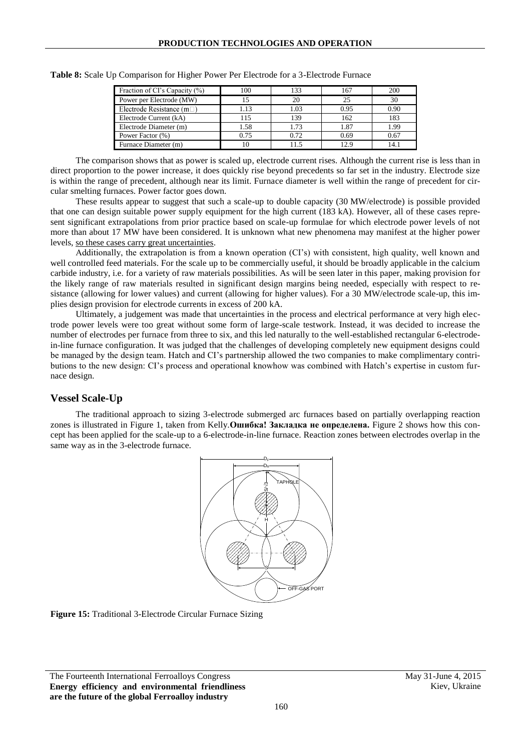| Fraction of CI's Capacity (%)    | 100  | 133  | 167  | 200  |
|----------------------------------|------|------|------|------|
| Power per Electrode (MW)         | 15   | 20   | 25   | 30   |
| Electrode Resistance (m $\Box$ ) | 1.13 | 1.03 | 0.95 | 0.90 |
| Electrode Current (kA)           | 115  | 139  | 162  | 183  |
| Electrode Diameter (m)           | 1.58 | 1.73 | 1.87 | 1.99 |
| Power Factor (%)                 | 0.75 | 0.72 | 0.69 | 0.67 |
| Furnace Diameter (m)             | 10   | 11.5 | 12.9 | 14.1 |

**Table 8:** Scale Up Comparison for Higher Power Per Electrode for a 3-Electrode Furnace

The comparison shows that as power is scaled up, electrode current rises. Although the current rise is less than in direct proportion to the power increase, it does quickly rise beyond precedents so far set in the industry. Electrode size is within the range of precedent, although near its limit. Furnace diameter is well within the range of precedent for circular smelting furnaces. Power factor goes down.

These results appear to suggest that such a scale-up to double capacity (30 MW/electrode) is possible provided that one can design suitable power supply equipment for the high current (183 kA). However, all of these cases represent significant extrapolations from prior practice based on scale-up formulae for which electrode power levels of not more than about 17 MW have been considered. It is unknown what new phenomena may manifest at the higher power levels, so these cases carry great uncertainties.

Additionally, the extrapolation is from a known operation (CI's) with consistent, high quality, well known and well controlled feed materials. For the scale up to be commercially useful, it should be broadly applicable in the calcium carbide industry, i.e. for a variety of raw materials possibilities. As will be seen later in this paper, making provision for the likely range of raw materials resulted in significant design margins being needed, especially with respect to resistance (allowing for lower values) and current (allowing for higher values). For a 30 MW/electrode scale-up, this implies design provision for electrode currents in excess of 200 kA.

Ultimately, a judgement was made that uncertainties in the process and electrical performance at very high electrode power levels were too great without some form of large-scale testwork. Instead, it was decided to increase the number of electrodes per furnace from three to six, and this led naturally to the well-established rectangular 6-electrodein-line furnace configuration. It was judged that the challenges of developing completely new equipment designs could be managed by the design team. Hatch and CI's partnership allowed the two companies to make complimentary contributions to the new design: CI's process and operational knowhow was combined with Hatch's expertise in custom furnace design.

## **Vessel Scale-Up**

The traditional approach to sizing 3-electrode submerged arc furnaces based on partially overlapping reaction zones is illustrated in Figure 1, taken from Kelly.**Ошибка! Закладка не определена.** Figure 2 shows how this concept has been applied for the scale-up to a 6-electrode-in-line furnace. Reaction zones between electrodes overlap in the same way as in the 3-electrode furnace.



<span id="page-2-0"></span>**Figure 15:** Traditional 3-Electrode Circular Furnace Sizing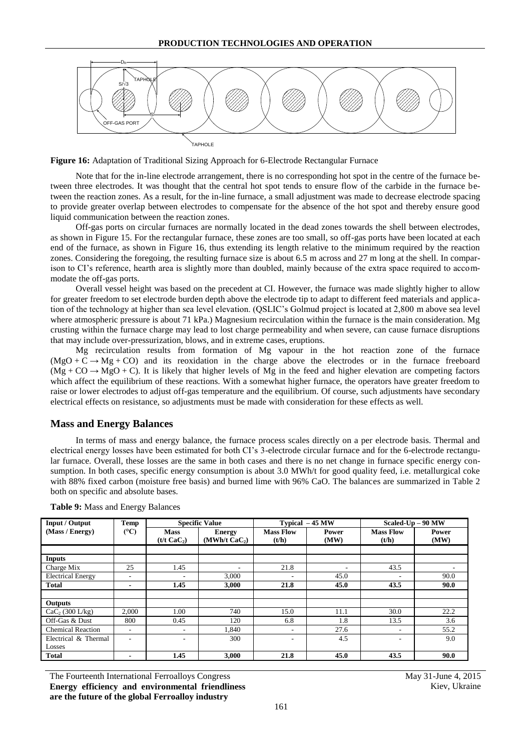

<span id="page-3-0"></span>**Figure 16:** Adaptation of Traditional Sizing Approach for 6-Electrode Rectangular Furnace

Note that for the in-line electrode arrangement, there is no corresponding hot spot in the centre of the furnace between three electrodes. It was thought that the central hot spot tends to ensure flow of the carbide in the furnace between the reaction zones. As a result, for the in-line furnace, a small adjustment was made to decrease electrode spacing to provide greater overlap between electrodes to compensate for the absence of the hot spot and thereby ensure good liquid communication between the reaction zones.

Off-gas ports on circular furnaces are normally located in the dead zones towards the shell between electrodes, as shown in [Figure 15.](#page-2-0) For the rectangular furnace, these zones are too small, so off-gas ports have been located at each end of the furnace, as shown in [Figure 16,](#page-3-0) thus extending its length relative to the minimum required by the reaction zones. Considering the foregoing, the resulting furnace size is about 6.5 m across and 27 m long at the shell. In comparison to CI's reference, hearth area is slightly more than doubled, mainly because of the extra space required to accommodate the off-gas ports.

Overall vessel height was based on the precedent at CI. However, the furnace was made slightly higher to allow for greater freedom to set electrode burden depth above the electrode tip to adapt to different feed materials and application of the technology at higher than sea level elevation. (QSLIC's Golmud project is located at 2,800 m above sea level where atmospheric pressure is about 71 kPa.) Magnesium recirculation within the furnace is the main consideration. Mg crusting within the furnace charge may lead to lost charge permeability and when severe, can cause furnace disruptions that may include over-pressurization, blows, and in extreme cases, eruptions.

Mg recirculation results from formation of Mg vapour in the hot reaction zone of the furnace  $(MgO + C \rightarrow Mg + CO)$  and its reoxidation in the charge above the electrodes or in the furnace freeboard  $(Mg + CO \rightarrow MgO + C)$ . It is likely that higher levels of Mg in the feed and higher elevation are competing factors which affect the equilibrium of these reactions. With a somewhat higher furnace, the operators have greater freedom to raise or lower electrodes to adjust off-gas temperature and the equilibrium. Of course, such adjustments have secondary electrical effects on resistance, so adjustments must be made with consideration for these effects as well.

#### **Mass and Energy Balances**

In terms of mass and energy balance, the furnace process scales directly on a per electrode basis. Thermal and electrical energy losses have been estimated for both CI's 3-electrode circular furnace and for the 6-electrode rectangular furnace. Overall, these losses are the same in both cases and there is no net change in furnace specific energy consumption. In both cases, specific energy consumption is about 3.0 MWh/t for good quality feed, i.e. metallurgical coke with 88% fixed carbon (moisture free basis) and burned lime with 96% CaO. The balances are summarized in Table 2 both on specific and absolute bases.

| Input / Output           | Temp           | <b>Specific Value</b>                  |                                            | Typical - 45 MW           |                          | Scaled- $Up - 90 MW$      |                      |
|--------------------------|----------------|----------------------------------------|--------------------------------------------|---------------------------|--------------------------|---------------------------|----------------------|
| (Mass / Energy)          | (C)            | <b>Mass</b><br>(t/t CaC <sub>2</sub> ) | <b>Energy</b><br>(MWh/t CaC <sub>2</sub> ) | <b>Mass Flow</b><br>(t/h) | Power<br>(MW)            | <b>Mass Flow</b><br>(t/h) | <b>Power</b><br>(MW) |
|                          |                |                                        |                                            |                           |                          |                           |                      |
| <b>Inputs</b>            |                |                                        |                                            |                           |                          |                           |                      |
| Charge Mix               | 25             | 1.45                                   | ٠                                          | 21.8                      | $\overline{\phantom{a}}$ | 43.5                      | ٠                    |
| <b>Electrical Energy</b> | ۰              | ٠                                      | 3.000                                      | ۰                         | 45.0                     | ۰                         | 90.0                 |
| <b>Total</b>             | $\blacksquare$ | 1.45                                   | 3.000                                      | 21.8                      | 45.0                     | 43.5                      | 90.0                 |
|                          |                |                                        |                                            |                           |                          |                           |                      |
| Outputs                  |                |                                        |                                            |                           |                          |                           |                      |
| $CaC_2(300)$ L/kg)       | 2.000          | 1.00                                   | 740                                        | 15.0                      | 11.1                     | 30.0                      | 22.2                 |
| Off-Gas & Dust           | 800            | 0.45                                   | 120                                        | 6.8                       | 1.8                      | 13.5                      | 3.6                  |
| <b>Chemical Reaction</b> | ۰              | ٠                                      | 1.840                                      | ۰                         | 27.6                     | ۰                         | 55.2                 |
| Electrical & Thermal     |                | ۰                                      | 300                                        | ۰                         | 4.5                      | ۰                         | 9.0                  |
| Losses                   |                |                                        |                                            |                           |                          |                           |                      |
| <b>Total</b>             | $\blacksquare$ | 1.45                                   | 3,000                                      | 21.8                      | 45.0                     | 43.5                      | 90.0                 |

**Table 9:** Mass and Energy Balances

The Fourteenth International Ferroalloys Congress May 31-June 4, 2015 **Energy efficiency and environmental friendliness are the future of the global Ferroalloy industry**

Kiev, Ukraine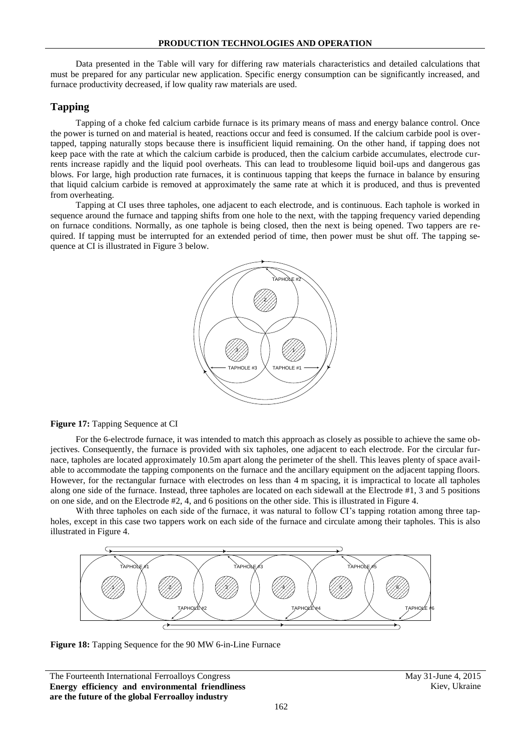Data presented in the Table will vary for differing raw materials characteristics and detailed calculations that must be prepared for any particular new application. Specific energy consumption can be significantly increased, and furnace productivity decreased, if low quality raw materials are used.

## **Tapping**

Tapping of a choke fed calcium carbide furnace is its primary means of mass and energy balance control. Once the power is turned on and material is heated, reactions occur and feed is consumed. If the calcium carbide pool is overtapped, tapping naturally stops because there is insufficient liquid remaining. On the other hand, if tapping does not keep pace with the rate at which the calcium carbide is produced, then the calcium carbide accumulates, electrode currents increase rapidly and the liquid pool overheats. This can lead to troublesome liquid boil-ups and dangerous gas blows. For large, high production rate furnaces, it is continuous tapping that keeps the furnace in balance by ensuring that liquid calcium carbide is removed at approximately the same rate at which it is produced, and thus is prevented from overheating.

Tapping at CI uses three tapholes, one adjacent to each electrode, and is continuous. Each taphole is worked in sequence around the furnace and tapping shifts from one hole to the next, with the tapping frequency varied depending on furnace conditions. Normally, as one taphole is being closed, then the next is being opened. Two tappers are required. If tapping must be interrupted for an extended period of time, then power must be shut off. The tapping sequence at CI is illustrated in Figure 3 below.



**Figure 17:** Tapping Sequence at CI

For the 6-electrode furnace, it was intended to match this approach as closely as possible to achieve the same objectives. Consequently, the furnace is provided with six tapholes, one adjacent to each electrode. For the circular furnace, tapholes are located approximately 10.5m apart along the perimeter of the shell. This leaves plenty of space available to accommodate the tapping components on the furnace and the ancillary equipment on the adjacent tapping floors. However, for the rectangular furnace with electrodes on less than 4 m spacing, it is impractical to locate all tapholes along one side of the furnace. Instead, three tapholes are located on each sidewall at the Electrode #1, 3 and 5 positions on one side, and on the Electrode #2, 4, and 6 positions on the other side. This is illustrated in Figure 4.

With three tapholes on each side of the furnace, it was natural to follow CI's tapping rotation among three tapholes, except in this case two tappers work on each side of the furnace and circulate among their tapholes. This is also illustrated in Figure 4.



Figure 18: Tapping Sequence for the 90 MW 6-in-Line Furnace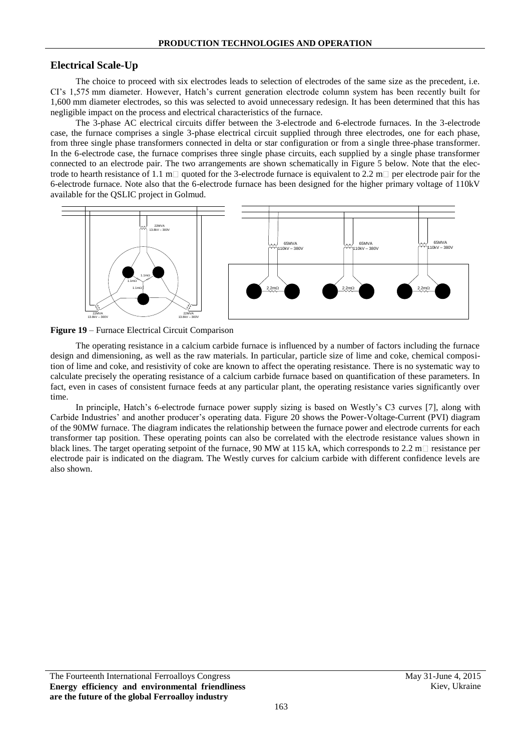#### **Electrical Scale-Up**

The choice to proceed with six electrodes leads to selection of electrodes of the same size as the precedent, i.e. CI's 1,575 mm diameter. However, Hatch's current generation electrode column system has been recently built for 1,600 mm diameter electrodes, so this was selected to avoid unnecessary redesign. It has been determined that this has negligible impact on the process and electrical characteristics of the furnace.

The 3-phase AC electrical circuits differ between the 3-electrode and 6-electrode furnaces. In the 3-electrode case, the furnace comprises a single 3-phase electrical circuit supplied through three electrodes, one for each phase, from three single phase transformers connected in delta or star configuration or from a single three-phase transformer. In the 6-electrode case, the furnace comprises three single phase circuits, each supplied by a single phase transformer connected to an electrode pair. The two arrangements are shown schematically in Figure 5 below. Note that the electrode to hearth resistance of 1.1 m $\Box$  quoted for the 3-electrode furnace is equivalent to 2.2 m $\Box$  per electrode pair for the 6-electrode furnace. Note also that the 6-electrode furnace has been designed for the higher primary voltage of 110kV available for the QSLIC project in Golmud.





The operating resistance in a calcium carbide furnace is influenced by a number of factors including the furnace design and dimensioning, as well as the raw materials. In particular, particle size of lime and coke, chemical composition of lime and coke, and resistivity of coke are known to affect the operating resistance. There is no systematic way to calculate precisely the operating resistance of a calcium carbide furnace based on quantification of these parameters. In fact, even in cases of consistent furnace feeds at any particular plant, the operating resistance varies significantly over time.

In principle, Hatch's 6-electrode furnace power supply sizing is based on Westly's C3 curves [7], along with Carbide Industries' and another producer's operating data. [Figure 20](#page-6-0) shows the Power-Voltage-Current (PVI) diagram of the 90MW furnace. The diagram indicates the relationship between the furnace power and electrode currents for each transformer tap position. These operating points can also be correlated with the electrode resistance values shown in black lines. The target operating setpoint of the furnace, 90 MW at 115 kA, which corresponds to 2.2 m $\Box$  resistance per electrode pair is indicated on the diagram. The Westly curves for calcium carbide with different confidence levels are also shown.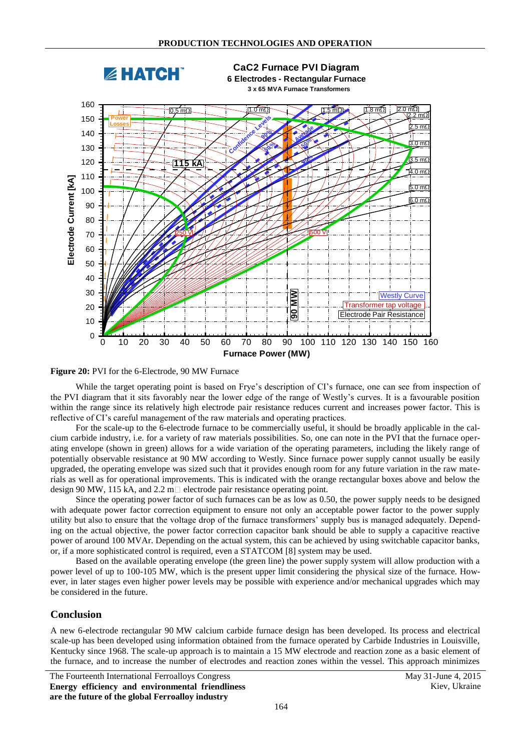

<span id="page-6-0"></span>**Figure 20:** PVI for the 6-Electrode, 90 MW Furnace

While the target operating point is based on Frye's description of CI's furnace, one can see from inspection of the PVI diagram that it sits favorably near the lower edge of the range of Westly's curves. It is a favourable position within the range since its relatively high electrode pair resistance reduces current and increases power factor. This is reflective of CI's careful management of the raw materials and operating practices.

For the scale-up to the 6-electrode furnace to be commercially useful, it should be broadly applicable in the calcium carbide industry, i.e. for a variety of raw materials possibilities. So, one can note in the PVI that the furnace operating envelope (shown in green) allows for a wide variation of the operating parameters, including the likely range of potentially observable resistance at 90 MW according to Westly. Since furnace power supply cannot usually be easily upgraded, the operating envelope was sized such that it provides enough room for any future variation in the raw materials as well as for operational improvements. This is indicated with the orange rectangular boxes above and below the design 90 MW, 115 kA, and 2.2 m $\Box$  electrode pair resistance operating point.

Since the operating power factor of such furnaces can be as low as 0.50, the power supply needs to be designed with adequate power factor correction equipment to ensure not only an acceptable power factor to the power supply utility but also to ensure that the voltage drop of the furnace transformers' supply bus is managed adequately. Depending on the actual objective, the power factor correction capacitor bank should be able to supply a capacitive reactive power of around 100 MVAr. Depending on the actual system, this can be achieved by using switchable capacitor banks, or, if a more sophisticated control is required, even a STATCOM [8] system may be used.

Based on the available operating envelope (the green line) the power supply system will allow production with a power level of up to 100-105 MW, which is the present upper limit considering the physical size of the furnace. However, in later stages even higher power levels may be possible with experience and/or mechanical upgrades which may be considered in the future.

#### **Conclusion**

A new 6-electrode rectangular 90 MW calcium carbide furnace design has been developed. Its process and electrical scale-up has been developed using information obtained from the furnace operated by Carbide Industries in Louisville, Kentucky since 1968. The scale-up approach is to maintain a 15 MW electrode and reaction zone as a basic element of the furnace, and to increase the number of electrodes and reaction zones within the vessel. This approach minimizes